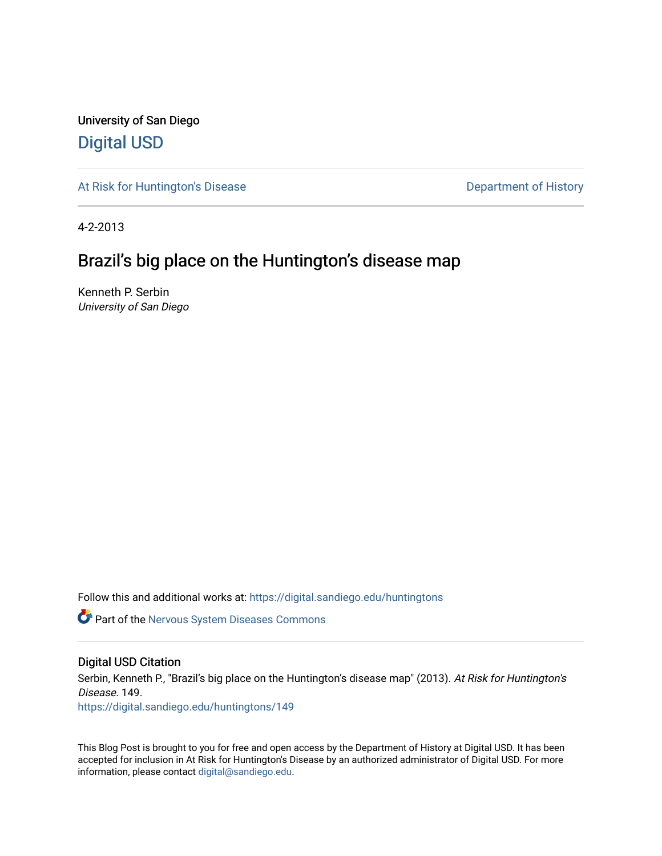University of San Diego [Digital USD](https://digital.sandiego.edu/)

[At Risk for Huntington's Disease](https://digital.sandiego.edu/huntingtons) **Department of History** Department of History

4-2-2013

# Brazil's big place on the Huntington's disease map

Kenneth P. Serbin University of San Diego

Follow this and additional works at: [https://digital.sandiego.edu/huntingtons](https://digital.sandiego.edu/huntingtons?utm_source=digital.sandiego.edu%2Fhuntingtons%2F149&utm_medium=PDF&utm_campaign=PDFCoverPages)

**C** Part of the [Nervous System Diseases Commons](http://network.bepress.com/hgg/discipline/928?utm_source=digital.sandiego.edu%2Fhuntingtons%2F149&utm_medium=PDF&utm_campaign=PDFCoverPages)

# Digital USD Citation

Serbin, Kenneth P., "Brazil's big place on the Huntington's disease map" (2013). At Risk for Huntington's Disease. 149.

[https://digital.sandiego.edu/huntingtons/149](https://digital.sandiego.edu/huntingtons/149?utm_source=digital.sandiego.edu%2Fhuntingtons%2F149&utm_medium=PDF&utm_campaign=PDFCoverPages)

This Blog Post is brought to you for free and open access by the Department of History at Digital USD. It has been accepted for inclusion in At Risk for Huntington's Disease by an authorized administrator of Digital USD. For more information, please contact [digital@sandiego.edu.](mailto:digital@sandiego.edu)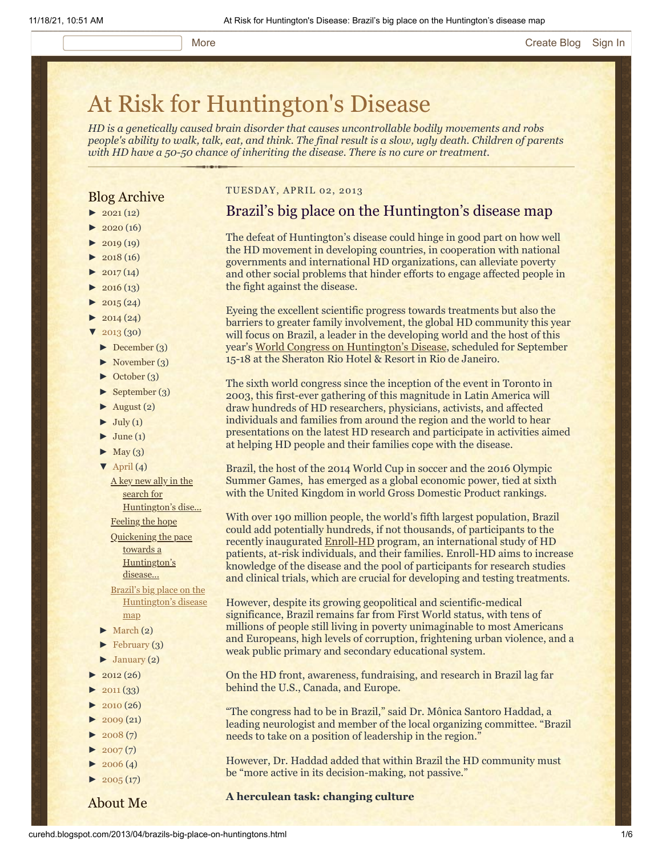# [At Risk for Huntington's Disease](http://curehd.blogspot.com/)

*HD is a genetically caused brain disorder that causes uncontrollable bodily movements and robs people's ability to walk, talk, eat, and think. The final result is a slow, ugly death. Children of parents with HD have a 50-50 chance of inheriting the disease. There is no cure or treatment.*

# Blog Archive

- $\blacktriangleright$  [2021](http://curehd.blogspot.com/2021/) (12)
- $2020(16)$  $2020(16)$
- $2019(19)$  $2019(19)$
- $\blacktriangleright$  [2018](http://curehd.blogspot.com/2018/) (16)
- $2017(14)$  $2017(14)$
- $2016(13)$  $2016(13)$
- $\blacktriangleright$  [2015](http://curehd.blogspot.com/2015/) (24)
- $-2014(24)$  $-2014(24)$  $-2014(24)$
- $'$  [2013](http://curehd.blogspot.com/2013/) (30)
- [►](javascript:void(0)) [December](http://curehd.blogspot.com/2013/12/) (3)
- [►](javascript:void(0)) [November](http://curehd.blogspot.com/2013/11/) (3)
- [►](javascript:void(0)) [October](http://curehd.blogspot.com/2013/10/) (3)
- [►](javascript:void(0)) [September](http://curehd.blogspot.com/2013/09/) (3)
- $\blacktriangleright$  [August](http://curehd.blogspot.com/2013/08/) (2)
- $\blacktriangleright$  [July](http://curehd.blogspot.com/2013/07/) (1)
- $\blacktriangleright$  [June](http://curehd.blogspot.com/2013/06/) (1)
- $\blacktriangleright$  [May](http://curehd.blogspot.com/2013/05/) (3)
- $\nabla$  [April](http://curehd.blogspot.com/2013/04/) (4)
	- A key new ally in the search for [Huntington's](http://curehd.blogspot.com/2013/04/a-key-new-ally-in-search-for.html) dise...
	- [Feeling](http://curehd.blogspot.com/2013/04/feeling-hope.html) the hope Quickening the pace towards a
	- [Huntington's](http://curehd.blogspot.com/2013/04/quickening-pace-towards-huntingtons.html) disease...
	- Brazil's big place on the [Huntington's](http://curehd.blogspot.com/2013/04/brazils-big-place-on-huntingtons.html) disease map
- $\blacktriangleright$  [March](http://curehd.blogspot.com/2013/03/) (2)
- $\blacktriangleright$  [February](http://curehd.blogspot.com/2013/02/) (3)
- [►](javascript:void(0)) [January](http://curehd.blogspot.com/2013/01/) (2)
- $2012(26)$  $2012(26)$
- [►](javascript:void(0)) [2011](http://curehd.blogspot.com/2011/) (33)
- $2010(26)$  $2010(26)$
- $2009(21)$  $2009(21)$
- $2008(7)$  $2008(7)$
- $2007(7)$  $2007(7)$
- $2006(4)$  $2006(4)$  $\blacktriangleright$  [2005](http://curehd.blogspot.com/2005/) (17)
- 

About Me

# TUESDAY, APRIL 02, 2013

# Brazil's big place on the Huntington's disease map

The defeat of Huntington's disease could hinge in good part on how well the HD movement in developing countries, in cooperation with national governments and international HD organizations, can alleviate poverty and other social problems that hinder efforts to engage affected people in the fight against the disease.

Eyeing the excellent scientific progress towards treatments but also the barriers to greater family involvement, the global HD community this year will focus on Brazil, a leader in the developing world and the host of this year's [World Congress on Huntington's Disease](http://www.wchd2013.com/), scheduled for September 15-18 at the Sheraton Rio Hotel & Resort in Rio de Janeiro.

The sixth world congress since the inception of the event in Toronto in 2003, this first-ever gathering of this magnitude in Latin America will draw hundreds of HD researchers, physicians, activists, and affected individuals and families from around the region and the world to hear presentations on the latest HD research and participate in activities aimed at helping HD people and their families cope with the disease.

Brazil, the host of the 2014 World Cup in soccer and the 2016 Olympic Summer Games, has emerged as a global economic power, tied at sixth with the United Kingdom in world Gross Domestic Product rankings.

With over 190 million people, the world's fifth largest population, Brazil could add potentially hundreds, if not thousands, of participants to the recently inaugurated [Enroll-HD](http://www.enroll-hd.org/html/about?enrollsid=69365a880f2fac0bf1399973b0928839) program, an international study of HD patients, at-risk individuals, and their families. Enroll-HD aims to increase knowledge of the disease and the pool of participants for research studies and clinical trials, which are crucial for developing and testing treatments.

However, despite its growing geopolitical and scientific-medical significance, Brazil remains far from First World status, with tens of millions of people still living in poverty unimaginable to most Americans and Europeans, high levels of corruption, frightening urban violence, and a weak public primary and secondary educational system.

On the HD front, awareness, fundraising, and research in Brazil lag far behind the U.S., Canada, and Europe.

"The congress had to be in Brazil," said Dr. Mônica Santoro Haddad, a leading neurologist and member of the local organizing committee. "Brazil needs to take on a position of leadership in the region."

However, Dr. Haddad added that within Brazil the HD community must be "more active in its decision-making, not passive."

### **A herculean task: changing culture**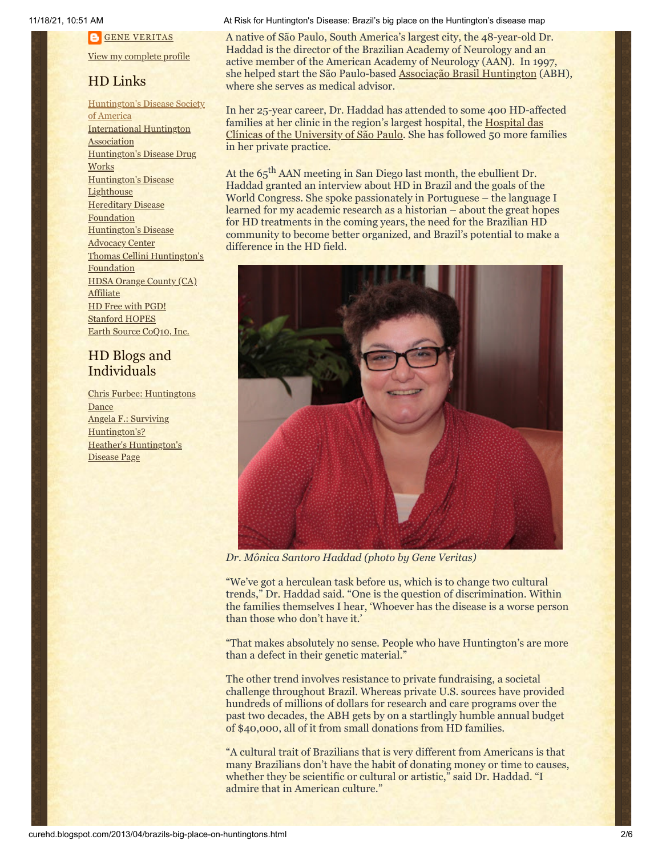**GENE [VERITAS](https://www.blogger.com/profile/10911736205741688185)** 

View my [complete](https://www.blogger.com/profile/10911736205741688185) profile

# HD Links

[Huntington's](http://www.hdsa.org/) Disease Society of America [International](http://www.huntington-assoc.com/) Huntington **Association** [Huntington's](http://hddrugworks.org/) Disease Drug **Works** [Huntington's](http://www.hdlighthouse.org/) Disease **Lighthouse Hereditary Disease [Foundation](http://www.hdfoundation.org/)** [Huntington's](http://www.hdac.org/) Disease **Advocacy Center** Thomas [Cellini Huntington's](http://www.ourtchfoundation.org/) **Foundation** HDSA Orange County (CA) **[Affiliate](http://www.hdsaoc.org/)** HD Free with [PGD!](http://www.hdfreewithpgd.com/) [Stanford](http://www.stanford.edu/group/hopes/) HOPES Earth Source [CoQ10,](http://www.escoq10.com/) Inc.

# HD Blogs and Individuals

Chris Furbee: [Huntingtons](http://www.huntingtonsdance.org/) Dance Angela F.: Surviving [Huntington's?](http://survivinghuntingtons.blogspot.com/) Heather's [Huntington's](http://heatherdugdale.angelfire.com/) Disease Page

#### 11/18/21, 10:51 AM At Risk for Huntington's Disease: Brazil's big place on the Huntington's disease map

A native of São Paulo, South America's largest city, the 48-year-old Dr. Haddad is the director of the Brazilian Academy of Neurology and an active member of the American Academy of Neurology (AAN). In 1997, she helped start the São Paulo-based [Associação Brasil Huntington](http://www.abh.org.br/) (ABH), where she serves as medical advisor.

In her 25-year career, Dr. Haddad has attended to some 400 HD-affected families at her clinic in the region's largest hospital, the **Hospital das** [Clínicas of the University of São Paulo. She has followed](http://www.hcnet.usp.br/) 50 more families in her private practice.

At the 65<sup>th</sup> AAN meeting in San Diego last month, the ebullient Dr. Haddad granted an interview about HD in Brazil and the goals of the World Congress. She spoke passionately in Portuguese – the language I learned for my academic research as a historian – about the great hopes for HD treatments in the coming years, the need for the Brazilian HD community to become better organized, and Brazil's potential to make a difference in the HD field.



*Dr. Mônica Santoro Haddad (photo by Gene Veritas)*

"We've got a herculean task before us, which is to change two cultural trends," Dr. Haddad said. "One is the question of discrimination. Within the families themselves I hear, 'Whoever has the disease is a worse person than those who don't have it.'

"That makes absolutely no sense. People who have Huntington's are more than a defect in their genetic material."

The other trend involves resistance to private fundraising, a societal challenge throughout Brazil. Whereas private U.S. sources have provided hundreds of millions of dollars for research and care programs over the past two decades, the ABH gets by on a startlingly humble annual budget of \$40,000, all of it from small donations from HD families.

"A cultural trait of Brazilians that is very different from Americans is that many Brazilians don't have the habit of donating money or time to causes, whether they be scientific or cultural or artistic," said Dr. Haddad. "I admire that in American culture."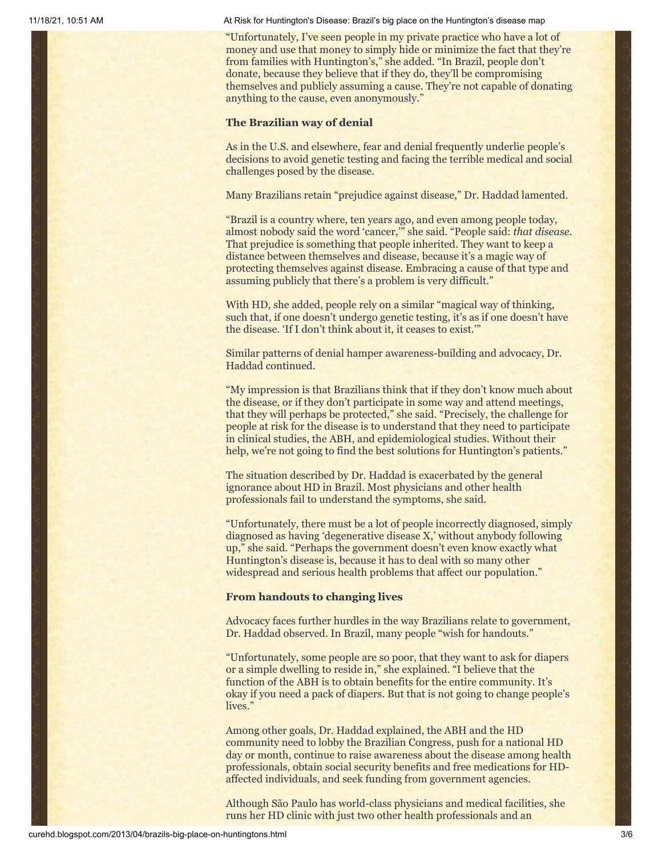11/18/21, 10:51 AM At Risk for Huntington's Disease: Brazil's big place on the Huntington's disease map

"Unfortunately, I've seen people in my private practice who have a lot of money and use that money to simply hide or minimize the fact that they're from families with Huntington's," she added. "In Brazil, people don't donate, because they believe that if they do, they'll be compromising themselves and publicly assuming a cause. They're not capable of donating anything to the cause, even anonymously."

### **The Brazilian way of denial**

As in the U.S. and elsewhere, fear and denial frequently underlie people's decisions to avoid genetic testing and facing the terrible medical and social challenges posed by the disease.

Many Brazilians retain "prejudice against disease," Dr. Haddad lamented.

"Brazil is a country where, ten years ago, and even among people today, almost nobody said the word 'cancer,'" she said. "People said: *that disease.* That prejudice is something that people inherited. They want to keep a distance between themselves and disease, because it's a magic way of protecting themselves against disease. Embracing a cause of that type and assuming publicly that there's a problem is very difficult."

With HD, she added, people rely on a similar "magical way of thinking, such that, if one doesn't undergo genetic testing, it's as if one doesn't have the disease. 'If I don't think about it, it ceases to exist.'"

Similar patterns of denial hamper awareness-building and advocacy, Dr. Haddad continued.

"My impression is that Brazilians think that if they don't know much about the disease, or if they don't participate in some way and attend meetings, that they will perhaps be protected," she said. "Precisely, the challenge for people at risk for the disease is to understand that they need to participate in clinical studies, the ABH, and epidemiological studies. Without their help, we're not going to find the best solutions for Huntington's patients."

The situation described by Dr. Haddad is exacerbated by the general ignorance about HD in Brazil. Most physicians and other health professionals fail to understand the symptoms, she said.

"Unfortunately, there must be a lot of people incorrectly diagnosed, simply diagnosed as having 'degenerative disease X,' without anybody following up," she said. "Perhaps the government doesn't even know exactly what Huntington's disease is, because it has to deal with so many other widespread and serious health problems that affect our population."

#### **From handouts to changing lives**

Advocacy faces further hurdles in the way Brazilians relate to government, Dr. Haddad observed. In Brazil, many people "wish for handouts."

"Unfortunately, some people are so poor, that they want to ask for diapers or a simple dwelling to reside in," she explained. "I believe that the function of the ABH is to obtain benefits for the entire community. It's okay if you need a pack of diapers. But that is not going to change people's lives."

Among other goals, Dr. Haddad explained, the ABH and the HD community need to lobby the Brazilian Congress, push for a national HD day or month, continue to raise awareness about the disease among health professionals, obtain social security benefits and free medications for HDaffected individuals, and seek funding from government agencies.

Although São Paulo has world-class physicians and medical facilities, she runs her HD clinic with just two other health professionals and an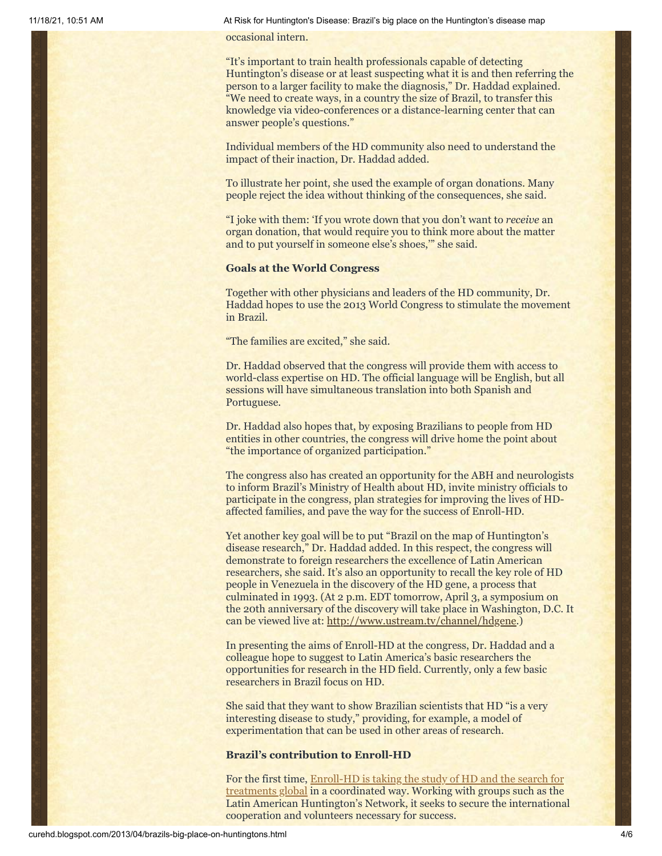11/18/21, 10:51 AM At Risk for Huntington's Disease: Brazil's big place on the Huntington's disease map

occasional intern.

"It's important to train health professionals capable of detecting Huntington's disease or at least suspecting what it is and then referring the person to a larger facility to make the diagnosis," Dr. Haddad explained. "We need to create ways, in a country the size of Brazil, to transfer this knowledge via video-conferences or a distance-learning center that can answer people's questions."

Individual members of the HD community also need to understand the impact of their inaction, Dr. Haddad added.

To illustrate her point, she used the example of organ donations. Many people reject the idea without thinking of the consequences, she said.

"I joke with them: 'If you wrote down that you don't want to *receive* an organ donation, that would require you to think more about the matter and to put yourself in someone else's shoes,'" she said.

## **Goals at the World Congress**

Together with other physicians and leaders of the HD community, Dr. Haddad hopes to use the 2013 World Congress to stimulate the movement in Brazil.

"The families are excited," she said.

Dr. Haddad observed that the congress will provide them with access to world-class expertise on HD. The official language will be English, but all sessions will have simultaneous translation into both Spanish and Portuguese.

Dr. Haddad also hopes that, by exposing Brazilians to people from HD entities in other countries, the congress will drive home the point about "the importance of organized participation."

The congress also has created an opportunity for the ABH and neurologists to inform Brazil's Ministry of Health about HD, invite ministry officials to participate in the congress, plan strategies for improving the lives of HDaffected families, and pave the way for the success of Enroll-HD.

Yet another key goal will be to put "Brazil on the map of Huntington's disease research," Dr. Haddad added. In this respect, the congress will demonstrate to foreign researchers the excellence of Latin American researchers, she said. It's also an opportunity to recall the key role of HD people in Venezuela in the discovery of the HD gene, a process that culminated in 1993. (At 2 p.m. EDT tomorrow, April 3, a symposium on the 20th anniversary of the discovery will take place in Washington, D.C. It can be viewed live at: [http://www.ustream.tv/channel/hdgene.](http://www.ustream.tv/channel/hdgene))

In presenting the aims of Enroll-HD at the congress, Dr. Haddad and a colleague hope to suggest to Latin America's basic researchers the opportunities for research in the HD field. Currently, only a few basic researchers in Brazil focus on HD.

She said that they want to show Brazilian scientists that HD "is a very interesting disease to study," providing, for example, a model of experimentation that can be used in other areas of research.

# **Brazil's contribution to Enroll-HD**

[For the first time, Enroll-HD is taking the study of HD and the search for](http://curehd.blogspot.com/2010/12/globalizing-fight-against-huntingtons.html) treatments global in a coordinated way. Working with groups such as the Latin American Huntington's Network, it seeks to secure the international cooperation and volunteers necessary for success.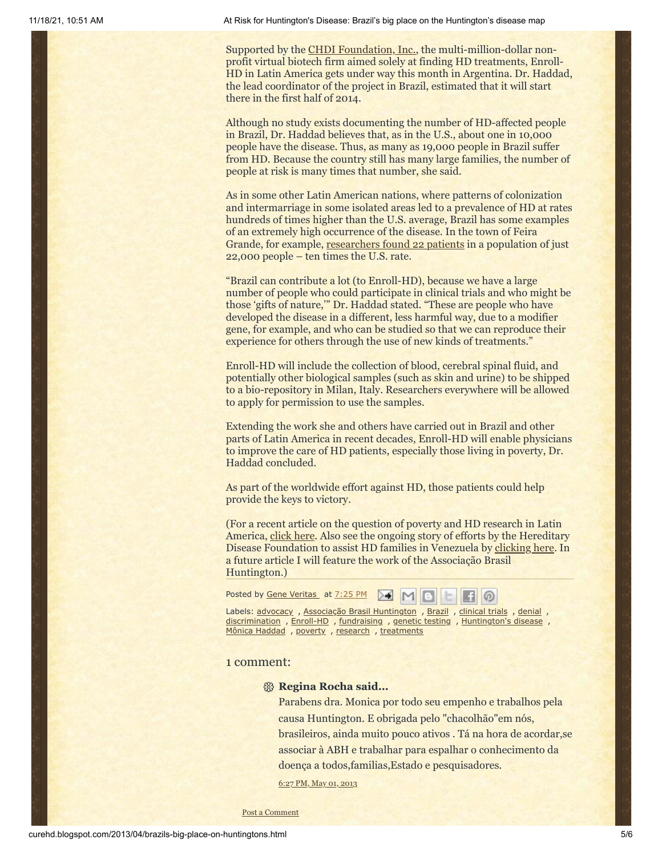Supported by the [CHDI Foundation, Inc.](http://www.chdifoundation.org/), the multi-million-dollar nonprofit virtual biotech firm aimed solely at finding HD treatments, Enroll-HD in Latin America gets under way this month in Argentina. Dr. Haddad, the lead coordinator of the project in Brazil, estimated that it will start there in the first half of 2014.

Although no study exists documenting the number of HD-affected people in Brazil, Dr. Haddad believes that, as in the U.S., about one in 10,000 people have the disease. Thus, as many as 19,000 people in Brazil suffer from HD. Because the country still has many large families, the number of people at risk is many times that number, she said.

As in some other Latin American nations, where patterns of colonization and intermarriage in some isolated areas led to a prevalence of HD at rates hundreds of times higher than the U.S. average, Brazil has some examples of an extremely high occurrence of the disease. In the town of Feira Grande, for example, [researchers found 22 patients](http://jnnp.bmj.com/content/81/Suppl_1/A22.3.abstract) in a population of just 22,000 people – ten times the U.S. rate.

"Brazil can contribute a lot (to Enroll-HD), because we have a large number of people who could participate in clinical trials and who might be those 'gifts of nature,'" Dr. Haddad stated. "These are people who have developed the disease in a different, less harmful way, due to a modifier gene, for example, and who can be studied so that we can reproduce their experience for others through the use of new kinds of treatments."

Enroll-HD will include the collection of blood, cerebral spinal fluid, and potentially other biological samples (such as skin and urine) to be shipped to a bio-repository in Milan, Italy. Researchers everywhere will be allowed to apply for permission to use the samples.

Extending the work she and others have carried out in Brazil and other parts of Latin America in recent decades, Enroll-HD will enable physicians to improve the care of HD patients, especially those living in poverty, Dr. Haddad concluded.

As part of the worldwide effort against HD, those patients could help provide the keys to victory.

(For a recent article on the question of poverty and HD research in Latin America, [click here.](http://www.thelancet.com/journals/laneur/article/PIIS1474-4422(13)70006-1/fulltext?rss=yes) Also see the ongoing story of efforts by the Hereditary Disease Foundation to assist HD families in Venezuela by [clicking here.](http://www.hdfoundation.org/home.php) In a future article I will feature the work of the Associação Brasil Huntington.)

| Posted by <u>Gene Veritas</u> at <u>7:25 PM</u> $\mathbf{M}$ $\mathbf{M}$ $\mathbf{G}$ $\mathbf{G}$ |
|-----------------------------------------------------------------------------------------------------|
| Labels: advocacy, Associação Brasil Huntington, Brazil, clinical trials, denial,                    |
| discrimination, Enroll-HD, fundraising, genetic testing, Huntington's disease,                      |
| Mônica Haddad, poverty, research, treatments                                                        |

#### 1 comment:

#### **Regina Rocha said...**

Parabens dra. Monica por todo seu empenho e trabalhos pela causa Huntington. E obrigada pelo "chacolhão"em nós, brasileiros, ainda muito pouco ativos . Tá na hora de acordar,se associar à ABH e trabalhar para espalhar o conhecimento da doença a todos,familias,Estado e pesquisadores.

6:27 PM, May 01, [2013](http://curehd.blogspot.com/2013/04/brazils-big-place-on-huntingtons.html?showComment=1367458021522#c5082393539891184122)

Post a [Comment](https://www.blogger.com/comment.g?blogID=10081281&postID=5726227626903643705&isPopup=true)